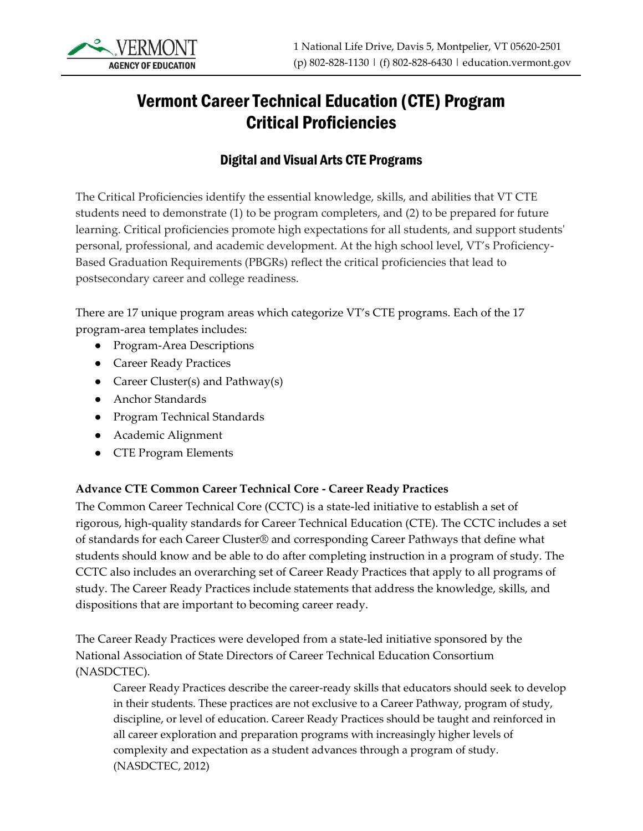

# Vermont Career Technical Education (CTE) Program Critical Proficiencies

### Digital and Visual Arts CTE Programs

The Critical Proficiencies identify the essential knowledge, skills, and abilities that VT CTE students need to demonstrate (1) to be program completers, and (2) to be prepared for future learning. Critical proficiencies promote high expectations for all students, and support students' personal, professional, and academic development. At the high school level, VT's Proficiency-Based Graduation Requirements (PBGRs) reflect the critical proficiencies that lead to postsecondary career and college readiness.

There are 17 unique program areas which categorize VT's CTE programs. Each of the 17 program-area templates includes:

- Program-Area Descriptions
- Career Ready Practices
- Career Cluster(s) and Pathway(s)
- Anchor Standards
- Program Technical Standards
- Academic Alignment
- CTE Program Elements

#### **Advance CTE Common Career Technical Core - Career Ready Practices**

The Common Career Technical Core (CCTC) is a state-led initiative to establish a set of rigorous, high-quality standards for Career Technical Education (CTE). The CCTC includes a set of standards for each Career Cluster® and corresponding Career Pathways that define what students should know and be able to do after completing instruction in a program of study. The CCTC also includes an overarching set of Career Ready Practices that apply to all programs of study. The Career Ready Practices include statements that address the knowledge, skills, and dispositions that are important to becoming career ready.

The Career Ready Practices were developed from a state-led initiative sponsored by the National Association of State Directors of Career Technical Education Consortium (NASDCTEC).

Career Ready Practices describe the career-ready skills that educators should seek to develop in their students. These practices are not exclusive to a Career Pathway, program of study, discipline, or level of education. Career Ready Practices should be taught and reinforced in all career exploration and preparation programs with increasingly higher levels of complexity and expectation as a student advances through a program of study. (NASDCTEC, 2012)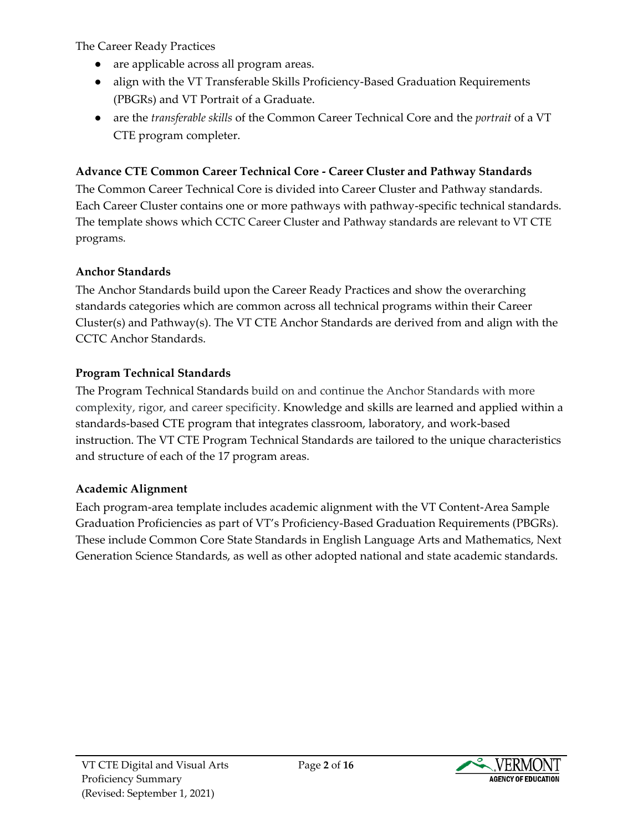The Career Ready Practices

- are applicable across all program areas.
- align with the VT Transferable Skills Proficiency-Based Graduation Requirements (PBGRs) and VT Portrait of a Graduate.
- are the *transferable skills* of the Common Career Technical Core and the *portrait* of a VT CTE program completer.

#### **Advance CTE Common Career Technical Core - Career Cluster and Pathway Standards**

The Common Career Technical Core is divided into Career Cluster and Pathway standards. Each Career Cluster contains one or more pathways with pathway-specific technical standards. The template shows which CCTC Career Cluster and Pathway standards are relevant to VT CTE programs.

### **Anchor Standards**

The Anchor Standards build upon the Career Ready Practices and show the overarching standards categories which are common across all technical programs within their Career Cluster(s) and Pathway(s). The VT CTE Anchor Standards are derived from and align with the CCTC Anchor Standards.

### **Program Technical Standards**

The Program Technical Standards build on and continue the Anchor Standards with more complexity, rigor, and career specificity. Knowledge and skills are learned and applied within a standards-based CTE program that integrates classroom, laboratory, and work-based instruction. The VT CTE Program Technical Standards are tailored to the unique characteristics and structure of each of the 17 program areas.

#### **Academic Alignment**

Each program-area template includes academic alignment with the VT Content-Area Sample Graduation Proficiencies as part of VT's Proficiency-Based Graduation Requirements (PBGRs). These include Common Core State Standards in English Language Arts and Mathematics, Next Generation Science Standards, as well as other adopted national and state academic standards.

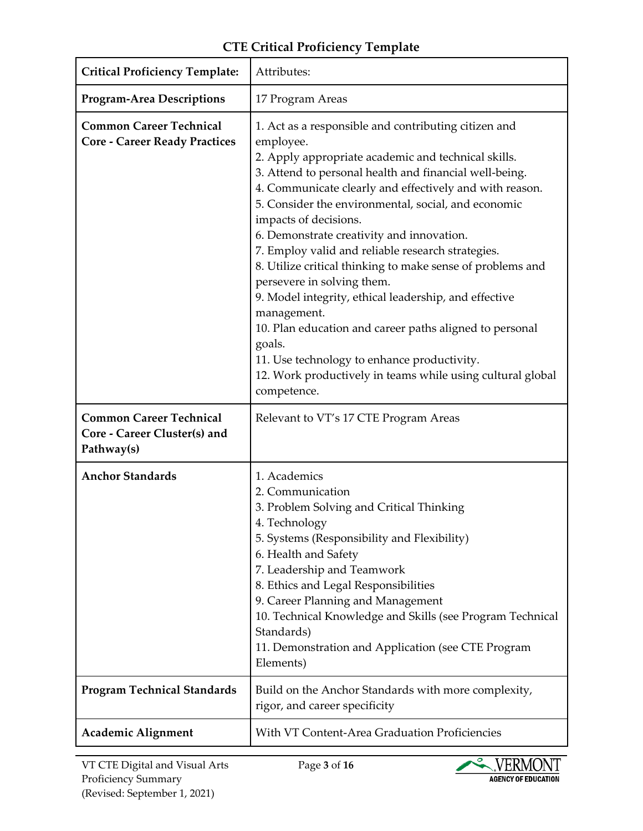| <b>Critical Proficiency Template:</b>                                        | Attributes:                                                                                                                                                                                                                                                                                                                                                                                                                                                                                                                                                                                                                                                                                                                                                                                          |
|------------------------------------------------------------------------------|------------------------------------------------------------------------------------------------------------------------------------------------------------------------------------------------------------------------------------------------------------------------------------------------------------------------------------------------------------------------------------------------------------------------------------------------------------------------------------------------------------------------------------------------------------------------------------------------------------------------------------------------------------------------------------------------------------------------------------------------------------------------------------------------------|
| <b>Program-Area Descriptions</b>                                             | 17 Program Areas                                                                                                                                                                                                                                                                                                                                                                                                                                                                                                                                                                                                                                                                                                                                                                                     |
| <b>Common Career Technical</b><br><b>Core - Career Ready Practices</b>       | 1. Act as a responsible and contributing citizen and<br>employee.<br>2. Apply appropriate academic and technical skills.<br>3. Attend to personal health and financial well-being.<br>4. Communicate clearly and effectively and with reason.<br>5. Consider the environmental, social, and economic<br>impacts of decisions.<br>6. Demonstrate creativity and innovation.<br>7. Employ valid and reliable research strategies.<br>8. Utilize critical thinking to make sense of problems and<br>persevere in solving them.<br>9. Model integrity, ethical leadership, and effective<br>management.<br>10. Plan education and career paths aligned to personal<br>goals.<br>11. Use technology to enhance productivity.<br>12. Work productively in teams while using cultural global<br>competence. |
| <b>Common Career Technical</b><br>Core - Career Cluster(s) and<br>Pathway(s) | Relevant to VT's 17 CTE Program Areas                                                                                                                                                                                                                                                                                                                                                                                                                                                                                                                                                                                                                                                                                                                                                                |
| <b>Anchor Standards</b>                                                      | 1. Academics<br>2. Communication<br>3. Problem Solving and Critical Thinking<br>4. Technology<br>5. Systems (Responsibility and Flexibility)<br>6. Health and Safety<br>7. Leadership and Teamwork<br>8. Ethics and Legal Responsibilities<br>9. Career Planning and Management<br>10. Technical Knowledge and Skills (see Program Technical<br>Standards)<br>11. Demonstration and Application (see CTE Program<br>Elements)                                                                                                                                                                                                                                                                                                                                                                        |
| <b>Program Technical Standards</b>                                           | Build on the Anchor Standards with more complexity,<br>rigor, and career specificity                                                                                                                                                                                                                                                                                                                                                                                                                                                                                                                                                                                                                                                                                                                 |
| <b>Academic Alignment</b>                                                    | With VT Content-Area Graduation Proficiencies                                                                                                                                                                                                                                                                                                                                                                                                                                                                                                                                                                                                                                                                                                                                                        |

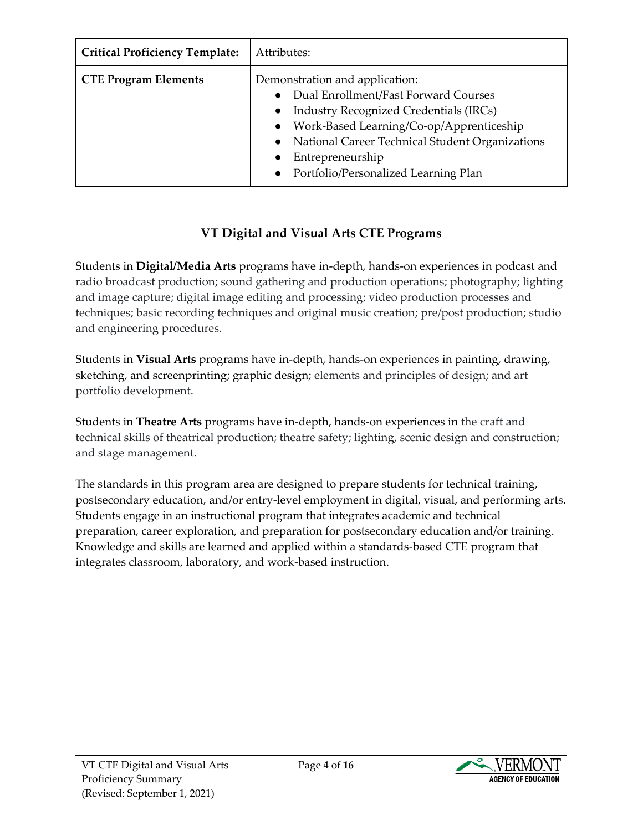| <b>Critical Proficiency Template:</b> | Attributes:                                                                                                                                                                                                                                                                                                               |
|---------------------------------------|---------------------------------------------------------------------------------------------------------------------------------------------------------------------------------------------------------------------------------------------------------------------------------------------------------------------------|
| <b>CTE Program Elements</b>           | Demonstration and application:<br>Dual Enrollment/Fast Forward Courses<br>$\bullet$<br><b>Industry Recognized Credentials (IRCs)</b><br>$\bullet$<br>Work-Based Learning/Co-op/Apprenticeship<br>$\bullet$<br>National Career Technical Student Organizations<br>Entrepreneurship<br>Portfolio/Personalized Learning Plan |

### **VT Digital and Visual Arts CTE Programs**

Students in **Digital/Media Arts** programs have in-depth, hands-on experiences in podcast and radio broadcast production; sound gathering and production operations; photography; lighting and image capture; digital image editing and processing; video production processes and techniques; basic recording techniques and original music creation; pre/post production; studio and engineering procedures.

Students in **Visual Arts** programs have in-depth, hands-on experiences in painting, drawing, sketching, and screenprinting; graphic design; elements and principles of design; and art portfolio development.

Students in **Theatre Arts** programs have in-depth, hands-on experiences in the craft and technical skills of theatrical production; theatre safety; lighting, scenic design and construction; and stage management.

The standards in this program area are designed to prepare students for technical training, postsecondary education, and/or entry-level employment in digital, visual, and performing arts. Students engage in an instructional program that integrates academic and technical preparation, career exploration, and preparation for postsecondary education and/or training. Knowledge and skills are learned and applied within a standards-based CTE program that integrates classroom, laboratory, and work-based instruction.

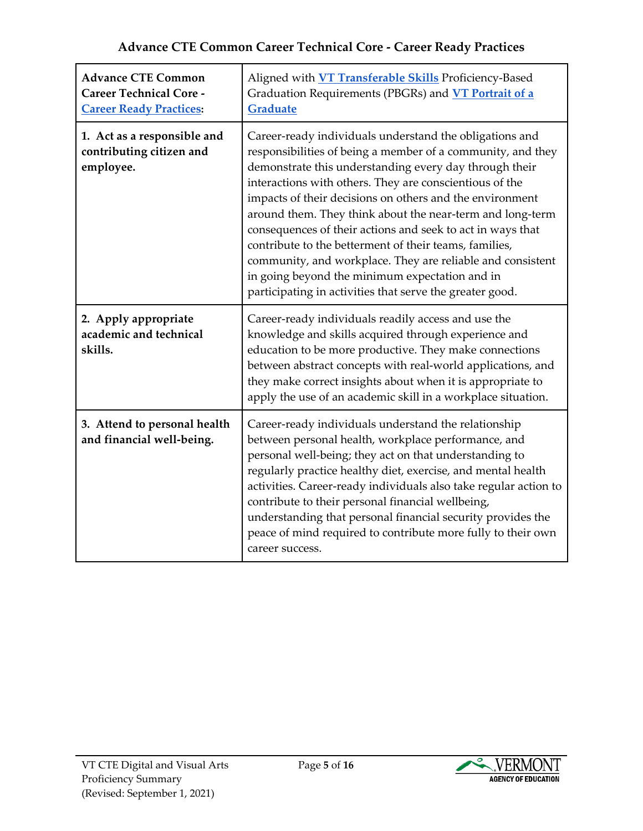| <b>Advance CTE Common</b><br><b>Career Technical Core -</b><br><b>Career Ready Practices:</b> | Aligned with <b>VT Transferable Skills</b> Proficiency-Based<br>Graduation Requirements (PBGRs) and VT Portrait of a<br><b>Graduate</b>                                                                                                                                                                                                                                                                                                                                                                                                                                                                                                                                  |
|-----------------------------------------------------------------------------------------------|--------------------------------------------------------------------------------------------------------------------------------------------------------------------------------------------------------------------------------------------------------------------------------------------------------------------------------------------------------------------------------------------------------------------------------------------------------------------------------------------------------------------------------------------------------------------------------------------------------------------------------------------------------------------------|
| 1. Act as a responsible and<br>contributing citizen and<br>employee.                          | Career-ready individuals understand the obligations and<br>responsibilities of being a member of a community, and they<br>demonstrate this understanding every day through their<br>interactions with others. They are conscientious of the<br>impacts of their decisions on others and the environment<br>around them. They think about the near-term and long-term<br>consequences of their actions and seek to act in ways that<br>contribute to the betterment of their teams, families,<br>community, and workplace. They are reliable and consistent<br>in going beyond the minimum expectation and in<br>participating in activities that serve the greater good. |
| 2. Apply appropriate<br>academic and technical<br>skills.                                     | Career-ready individuals readily access and use the<br>knowledge and skills acquired through experience and<br>education to be more productive. They make connections<br>between abstract concepts with real-world applications, and<br>they make correct insights about when it is appropriate to<br>apply the use of an academic skill in a workplace situation.                                                                                                                                                                                                                                                                                                       |
| 3. Attend to personal health<br>and financial well-being.                                     | Career-ready individuals understand the relationship<br>between personal health, workplace performance, and<br>personal well-being; they act on that understanding to<br>regularly practice healthy diet, exercise, and mental health<br>activities. Career-ready individuals also take regular action to<br>contribute to their personal financial wellbeing,<br>understanding that personal financial security provides the<br>peace of mind required to contribute more fully to their own<br>career success.                                                                                                                                                         |

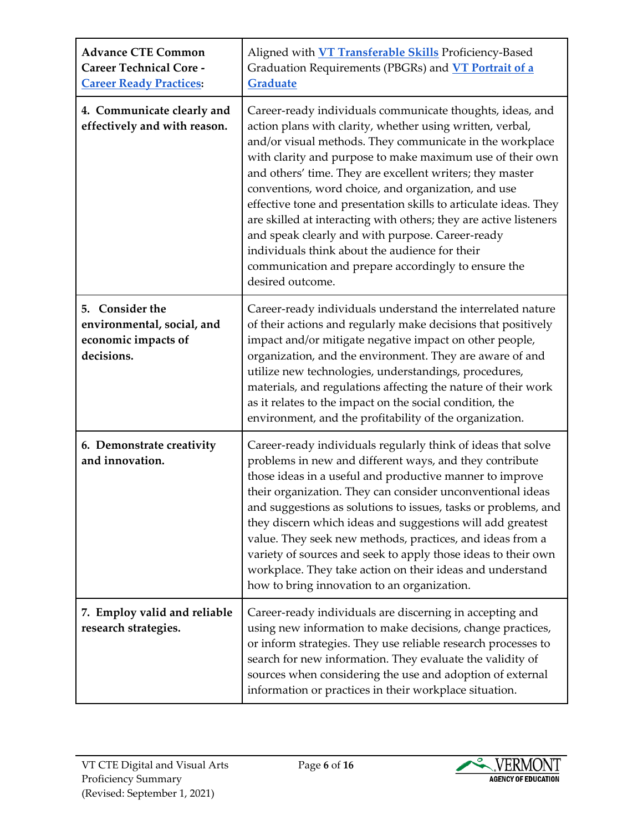| <b>Advance CTE Common</b><br><b>Career Technical Core -</b><br><b>Career Ready Practices:</b> | Aligned with <b>VT Transferable Skills</b> Proficiency-Based<br>Graduation Requirements (PBGRs) and <b>VT Portrait of a</b><br><b>Graduate</b>                                                                                                                                                                                                                                                                                                                                                                                                                                                                                                                                                |
|-----------------------------------------------------------------------------------------------|-----------------------------------------------------------------------------------------------------------------------------------------------------------------------------------------------------------------------------------------------------------------------------------------------------------------------------------------------------------------------------------------------------------------------------------------------------------------------------------------------------------------------------------------------------------------------------------------------------------------------------------------------------------------------------------------------|
| 4. Communicate clearly and<br>effectively and with reason.                                    | Career-ready individuals communicate thoughts, ideas, and<br>action plans with clarity, whether using written, verbal,<br>and/or visual methods. They communicate in the workplace<br>with clarity and purpose to make maximum use of their own<br>and others' time. They are excellent writers; they master<br>conventions, word choice, and organization, and use<br>effective tone and presentation skills to articulate ideas. They<br>are skilled at interacting with others; they are active listeners<br>and speak clearly and with purpose. Career-ready<br>individuals think about the audience for their<br>communication and prepare accordingly to ensure the<br>desired outcome. |
| 5. Consider the<br>environmental, social, and<br>economic impacts of<br>decisions.            | Career-ready individuals understand the interrelated nature<br>of their actions and regularly make decisions that positively<br>impact and/or mitigate negative impact on other people,<br>organization, and the environment. They are aware of and<br>utilize new technologies, understandings, procedures,<br>materials, and regulations affecting the nature of their work<br>as it relates to the impact on the social condition, the<br>environment, and the profitability of the organization.                                                                                                                                                                                          |
| 6. Demonstrate creativity<br>and innovation.                                                  | Career-ready individuals regularly think of ideas that solve<br>problems in new and different ways, and they contribute<br>those ideas in a useful and productive manner to improve<br>their organization. They can consider unconventional ideas<br>and suggestions as solutions to issues, tasks or problems, and<br>they discern which ideas and suggestions will add greatest<br>value. They seek new methods, practices, and ideas from a<br>variety of sources and seek to apply those ideas to their own<br>workplace. They take action on their ideas and understand<br>how to bring innovation to an organization.                                                                   |
| 7. Employ valid and reliable<br>research strategies.                                          | Career-ready individuals are discerning in accepting and<br>using new information to make decisions, change practices,<br>or inform strategies. They use reliable research processes to<br>search for new information. They evaluate the validity of<br>sources when considering the use and adoption of external<br>information or practices in their workplace situation.                                                                                                                                                                                                                                                                                                                   |

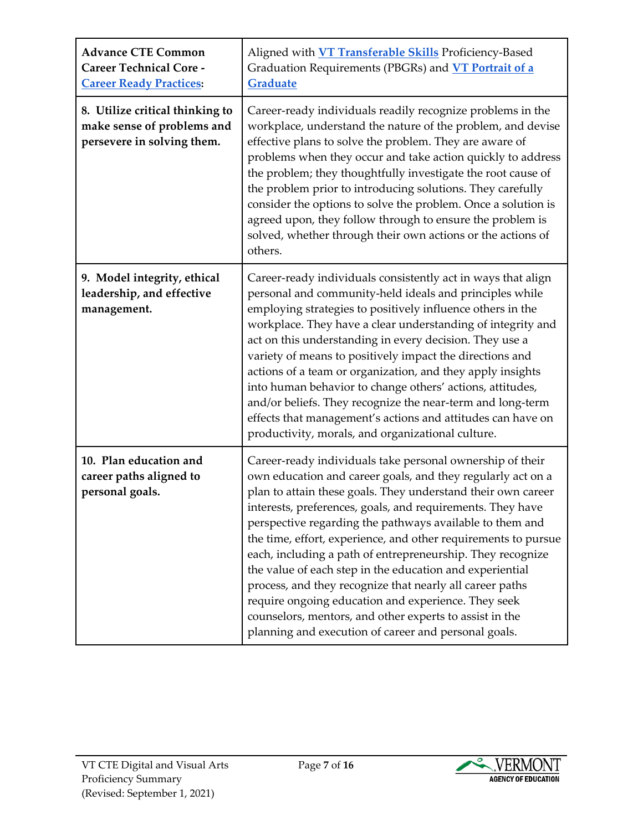| <b>Advance CTE Common</b><br><b>Career Technical Core -</b><br><b>Career Ready Practices:</b> | Aligned with <b>VT Transferable Skills</b> Proficiency-Based<br>Graduation Requirements (PBGRs) and <b>VT Portrait of a</b><br>Graduate                                                                                                                                                                                                                                                                                                                                                                                                                                                                                                                                                                                                              |
|-----------------------------------------------------------------------------------------------|------------------------------------------------------------------------------------------------------------------------------------------------------------------------------------------------------------------------------------------------------------------------------------------------------------------------------------------------------------------------------------------------------------------------------------------------------------------------------------------------------------------------------------------------------------------------------------------------------------------------------------------------------------------------------------------------------------------------------------------------------|
| 8. Utilize critical thinking to<br>make sense of problems and<br>persevere in solving them.   | Career-ready individuals readily recognize problems in the<br>workplace, understand the nature of the problem, and devise<br>effective plans to solve the problem. They are aware of<br>problems when they occur and take action quickly to address<br>the problem; they thoughtfully investigate the root cause of<br>the problem prior to introducing solutions. They carefully<br>consider the options to solve the problem. Once a solution is<br>agreed upon, they follow through to ensure the problem is<br>solved, whether through their own actions or the actions of<br>others.                                                                                                                                                            |
| 9. Model integrity, ethical<br>leadership, and effective<br>management.                       | Career-ready individuals consistently act in ways that align<br>personal and community-held ideals and principles while<br>employing strategies to positively influence others in the<br>workplace. They have a clear understanding of integrity and<br>act on this understanding in every decision. They use a<br>variety of means to positively impact the directions and<br>actions of a team or organization, and they apply insights<br>into human behavior to change others' actions, attitudes,<br>and/or beliefs. They recognize the near-term and long-term<br>effects that management's actions and attitudes can have on<br>productivity, morals, and organizational culture.                                                             |
| 10. Plan education and<br>career paths aligned to<br>personal goals.                          | Career-ready individuals take personal ownership of their<br>own education and career goals, and they regularly act on a<br>plan to attain these goals. They understand their own career<br>interests, preferences, goals, and requirements. They have<br>perspective regarding the pathways available to them and<br>the time, effort, experience, and other requirements to pursue<br>each, including a path of entrepreneurship. They recognize<br>the value of each step in the education and experiential<br>process, and they recognize that nearly all career paths<br>require ongoing education and experience. They seek<br>counselors, mentors, and other experts to assist in the<br>planning and execution of career and personal goals. |

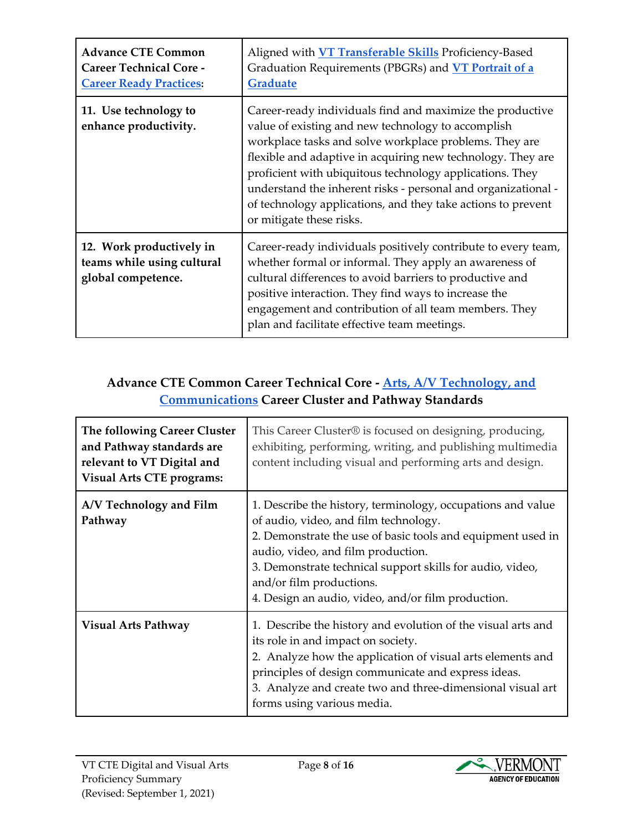| <b>Advance CTE Common</b><br><b>Career Technical Core -</b><br><b>Career Ready Practices:</b> | Aligned with <b>VT Transferable Skills</b> Proficiency-Based<br>Graduation Requirements (PBGRs) and VT Portrait of a<br>Graduate                                                                                                                                                                                                                                                                                                                                  |
|-----------------------------------------------------------------------------------------------|-------------------------------------------------------------------------------------------------------------------------------------------------------------------------------------------------------------------------------------------------------------------------------------------------------------------------------------------------------------------------------------------------------------------------------------------------------------------|
| 11. Use technology to<br>enhance productivity.                                                | Career-ready individuals find and maximize the productive<br>value of existing and new technology to accomplish<br>workplace tasks and solve workplace problems. They are<br>flexible and adaptive in acquiring new technology. They are<br>proficient with ubiquitous technology applications. They<br>understand the inherent risks - personal and organizational -<br>of technology applications, and they take actions to prevent<br>or mitigate these risks. |
| 12. Work productively in<br>teams while using cultural<br>global competence.                  | Career-ready individuals positively contribute to every team,<br>whether formal or informal. They apply an awareness of<br>cultural differences to avoid barriers to productive and<br>positive interaction. They find ways to increase the<br>engagement and contribution of all team members. They<br>plan and facilitate effective team meetings.                                                                                                              |

### **Advance CTE Common Career Technical Core - [Arts, A/V Technology, and](https://careertech.org/arts)  [Communications](https://careertech.org/arts) Career Cluster and Pathway Standards**

| The following Career Cluster<br>and Pathway standards are<br>relevant to VT Digital and<br><b>Visual Arts CTE programs:</b> | This Career Cluster® is focused on designing, producing,<br>exhibiting, performing, writing, and publishing multimedia<br>content including visual and performing arts and design.                                                                                                                                                                       |
|-----------------------------------------------------------------------------------------------------------------------------|----------------------------------------------------------------------------------------------------------------------------------------------------------------------------------------------------------------------------------------------------------------------------------------------------------------------------------------------------------|
| A/V Technology and Film<br>Pathway                                                                                          | 1. Describe the history, terminology, occupations and value<br>of audio, video, and film technology.<br>2. Demonstrate the use of basic tools and equipment used in<br>audio, video, and film production.<br>3. Demonstrate technical support skills for audio, video,<br>and/or film productions.<br>4. Design an audio, video, and/or film production. |
| <b>Visual Arts Pathway</b>                                                                                                  | 1. Describe the history and evolution of the visual arts and<br>its role in and impact on society.<br>2. Analyze how the application of visual arts elements and<br>principles of design communicate and express ideas.<br>3. Analyze and create two and three-dimensional visual art<br>forms using various media.                                      |

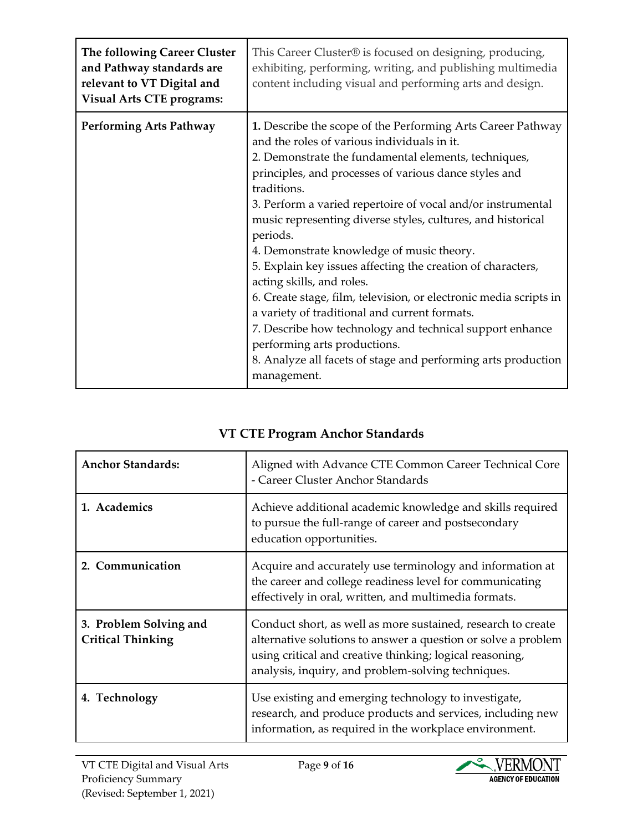| The following Career Cluster<br>and Pathway standards are<br>relevant to VT Digital and<br><b>Visual Arts CTE programs:</b> | This Career Cluster® is focused on designing, producing,<br>exhibiting, performing, writing, and publishing multimedia<br>content including visual and performing arts and design.                                                                                                                                                                                                                                                                                                                                                                                                                                                                                                                                                                                                                                              |
|-----------------------------------------------------------------------------------------------------------------------------|---------------------------------------------------------------------------------------------------------------------------------------------------------------------------------------------------------------------------------------------------------------------------------------------------------------------------------------------------------------------------------------------------------------------------------------------------------------------------------------------------------------------------------------------------------------------------------------------------------------------------------------------------------------------------------------------------------------------------------------------------------------------------------------------------------------------------------|
| <b>Performing Arts Pathway</b>                                                                                              | 1. Describe the scope of the Performing Arts Career Pathway<br>and the roles of various individuals in it.<br>2. Demonstrate the fundamental elements, techniques,<br>principles, and processes of various dance styles and<br>traditions.<br>3. Perform a varied repertoire of vocal and/or instrumental<br>music representing diverse styles, cultures, and historical<br>periods.<br>4. Demonstrate knowledge of music theory.<br>5. Explain key issues affecting the creation of characters,<br>acting skills, and roles.<br>6. Create stage, film, television, or electronic media scripts in<br>a variety of traditional and current formats.<br>7. Describe how technology and technical support enhance<br>performing arts productions.<br>8. Analyze all facets of stage and performing arts production<br>management. |

| VT CTE Program Anchor Standards |  |
|---------------------------------|--|
|---------------------------------|--|

| <b>Anchor Standards:</b>                           | Aligned with Advance CTE Common Career Technical Core<br>- Career Cluster Anchor Standards                                                                                                                                                      |
|----------------------------------------------------|-------------------------------------------------------------------------------------------------------------------------------------------------------------------------------------------------------------------------------------------------|
| 1. Academics                                       | Achieve additional academic knowledge and skills required<br>to pursue the full-range of career and postsecondary<br>education opportunities.                                                                                                   |
| 2. Communication                                   | Acquire and accurately use terminology and information at<br>the career and college readiness level for communicating<br>effectively in oral, written, and multimedia formats.                                                                  |
| 3. Problem Solving and<br><b>Critical Thinking</b> | Conduct short, as well as more sustained, research to create<br>alternative solutions to answer a question or solve a problem<br>using critical and creative thinking; logical reasoning,<br>analysis, inquiry, and problem-solving techniques. |
| 4. Technology                                      | Use existing and emerging technology to investigate,<br>research, and produce products and services, including new<br>information, as required in the workplace environment.                                                                    |

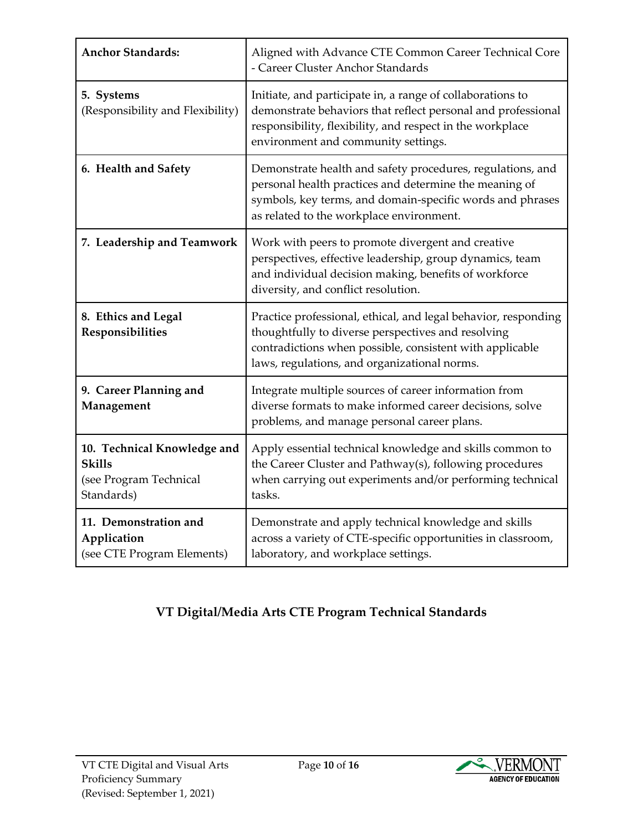| <b>Anchor Standards:</b>                                                             | Aligned with Advance CTE Common Career Technical Core<br>- Career Cluster Anchor Standards                                                                                                                                       |
|--------------------------------------------------------------------------------------|----------------------------------------------------------------------------------------------------------------------------------------------------------------------------------------------------------------------------------|
| 5. Systems<br>(Responsibility and Flexibility)                                       | Initiate, and participate in, a range of collaborations to<br>demonstrate behaviors that reflect personal and professional<br>responsibility, flexibility, and respect in the workplace<br>environment and community settings.   |
| 6. Health and Safety                                                                 | Demonstrate health and safety procedures, regulations, and<br>personal health practices and determine the meaning of<br>symbols, key terms, and domain-specific words and phrases<br>as related to the workplace environment.    |
| 7. Leadership and Teamwork                                                           | Work with peers to promote divergent and creative<br>perspectives, effective leadership, group dynamics, team<br>and individual decision making, benefits of workforce<br>diversity, and conflict resolution.                    |
| 8. Ethics and Legal<br>Responsibilities                                              | Practice professional, ethical, and legal behavior, responding<br>thoughtfully to diverse perspectives and resolving<br>contradictions when possible, consistent with applicable<br>laws, regulations, and organizational norms. |
| 9. Career Planning and<br>Management                                                 | Integrate multiple sources of career information from<br>diverse formats to make informed career decisions, solve<br>problems, and manage personal career plans.                                                                 |
| 10. Technical Knowledge and<br><b>Skills</b><br>(see Program Technical<br>Standards) | Apply essential technical knowledge and skills common to<br>the Career Cluster and Pathway(s), following procedures<br>when carrying out experiments and/or performing technical<br>tasks.                                       |
| 11. Demonstration and<br>Application<br>(see CTE Program Elements)                   | Demonstrate and apply technical knowledge and skills<br>across a variety of CTE-specific opportunities in classroom,<br>laboratory, and workplace settings.                                                                      |

### **VT Digital/Media Arts CTE Program Technical Standards**

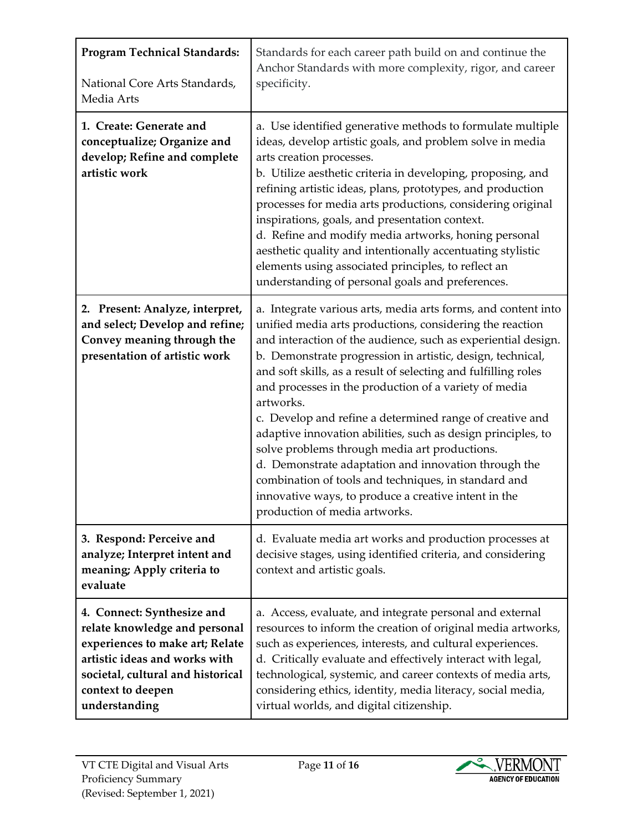| <b>Program Technical Standards:</b><br>National Core Arts Standards,<br>Media Arts                                                                                                                         | Standards for each career path build on and continue the<br>Anchor Standards with more complexity, rigor, and career<br>specificity.                                                                                                                                                                                                                                                                                                                                                                                                                                                                                                                                                                                                                                                   |
|------------------------------------------------------------------------------------------------------------------------------------------------------------------------------------------------------------|----------------------------------------------------------------------------------------------------------------------------------------------------------------------------------------------------------------------------------------------------------------------------------------------------------------------------------------------------------------------------------------------------------------------------------------------------------------------------------------------------------------------------------------------------------------------------------------------------------------------------------------------------------------------------------------------------------------------------------------------------------------------------------------|
| 1. Create: Generate and<br>conceptualize; Organize and<br>develop; Refine and complete<br>artistic work                                                                                                    | a. Use identified generative methods to formulate multiple<br>ideas, develop artistic goals, and problem solve in media<br>arts creation processes.<br>b. Utilize aesthetic criteria in developing, proposing, and<br>refining artistic ideas, plans, prototypes, and production<br>processes for media arts productions, considering original<br>inspirations, goals, and presentation context.<br>d. Refine and modify media artworks, honing personal<br>aesthetic quality and intentionally accentuating stylistic<br>elements using associated principles, to reflect an<br>understanding of personal goals and preferences.                                                                                                                                                      |
| 2. Present: Analyze, interpret,<br>and select; Develop and refine;<br>Convey meaning through the<br>presentation of artistic work                                                                          | a. Integrate various arts, media arts forms, and content into<br>unified media arts productions, considering the reaction<br>and interaction of the audience, such as experiential design.<br>b. Demonstrate progression in artistic, design, technical,<br>and soft skills, as a result of selecting and fulfilling roles<br>and processes in the production of a variety of media<br>artworks.<br>c. Develop and refine a determined range of creative and<br>adaptive innovation abilities, such as design principles, to<br>solve problems through media art productions.<br>d. Demonstrate adaptation and innovation through the<br>combination of tools and techniques, in standard and<br>innovative ways, to produce a creative intent in the<br>production of media artworks. |
| 3. Respond: Perceive and<br>analyze; Interpret intent and<br>meaning; Apply criteria to<br>evaluate                                                                                                        | d. Evaluate media art works and production processes at<br>decisive stages, using identified criteria, and considering<br>context and artistic goals.                                                                                                                                                                                                                                                                                                                                                                                                                                                                                                                                                                                                                                  |
| 4. Connect: Synthesize and<br>relate knowledge and personal<br>experiences to make art; Relate<br>artistic ideas and works with<br>societal, cultural and historical<br>context to deepen<br>understanding | a. Access, evaluate, and integrate personal and external<br>resources to inform the creation of original media artworks,<br>such as experiences, interests, and cultural experiences.<br>d. Critically evaluate and effectively interact with legal,<br>technological, systemic, and career contexts of media arts,<br>considering ethics, identity, media literacy, social media,<br>virtual worlds, and digital citizenship.                                                                                                                                                                                                                                                                                                                                                         |

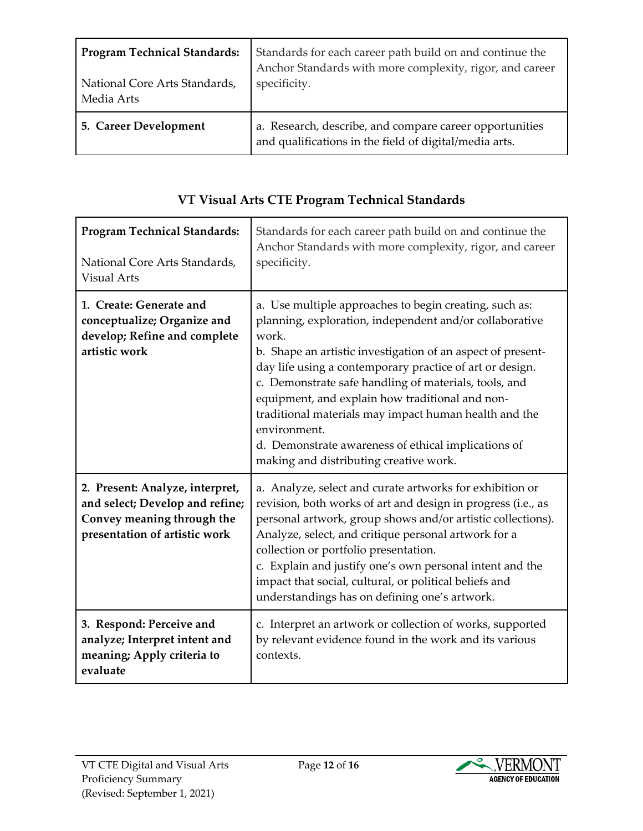| <b>Program Technical Standards:</b> | Standards for each career path build on and continue the                                                          |
|-------------------------------------|-------------------------------------------------------------------------------------------------------------------|
| National Core Arts Standards,       | Anchor Standards with more complexity, rigor, and career                                                          |
| Media Arts                          | specificity.                                                                                                      |
| 5. Career Development               | a. Research, describe, and compare career opportunities<br>and qualifications in the field of digital/media arts. |

| VT Visual Arts CTE Program Technical Standards |
|------------------------------------------------|
|------------------------------------------------|

| <b>Program Technical Standards:</b><br>National Core Arts Standards,<br><b>Visual Arts</b>                                        | Standards for each career path build on and continue the<br>Anchor Standards with more complexity, rigor, and career<br>specificity.                                                                                                                                                                                                                                                                                                                                                                                                        |
|-----------------------------------------------------------------------------------------------------------------------------------|---------------------------------------------------------------------------------------------------------------------------------------------------------------------------------------------------------------------------------------------------------------------------------------------------------------------------------------------------------------------------------------------------------------------------------------------------------------------------------------------------------------------------------------------|
| 1. Create: Generate and<br>conceptualize; Organize and<br>develop; Refine and complete<br>artistic work                           | a. Use multiple approaches to begin creating, such as:<br>planning, exploration, independent and/or collaborative<br>work.<br>b. Shape an artistic investigation of an aspect of present-<br>day life using a contemporary practice of art or design.<br>c. Demonstrate safe handling of materials, tools, and<br>equipment, and explain how traditional and non-<br>traditional materials may impact human health and the<br>environment.<br>d. Demonstrate awareness of ethical implications of<br>making and distributing creative work. |
| 2. Present: Analyze, interpret,<br>and select; Develop and refine;<br>Convey meaning through the<br>presentation of artistic work | a. Analyze, select and curate artworks for exhibition or<br>revision, both works of art and design in progress (i.e., as<br>personal artwork, group shows and/or artistic collections).<br>Analyze, select, and critique personal artwork for a<br>collection or portfolio presentation.<br>c. Explain and justify one's own personal intent and the<br>impact that social, cultural, or political beliefs and<br>understandings has on defining one's artwork.                                                                             |
| 3. Respond: Perceive and<br>analyze; Interpret intent and<br>meaning; Apply criteria to<br>evaluate                               | c. Interpret an artwork or collection of works, supported<br>by relevant evidence found in the work and its various<br>contexts.                                                                                                                                                                                                                                                                                                                                                                                                            |

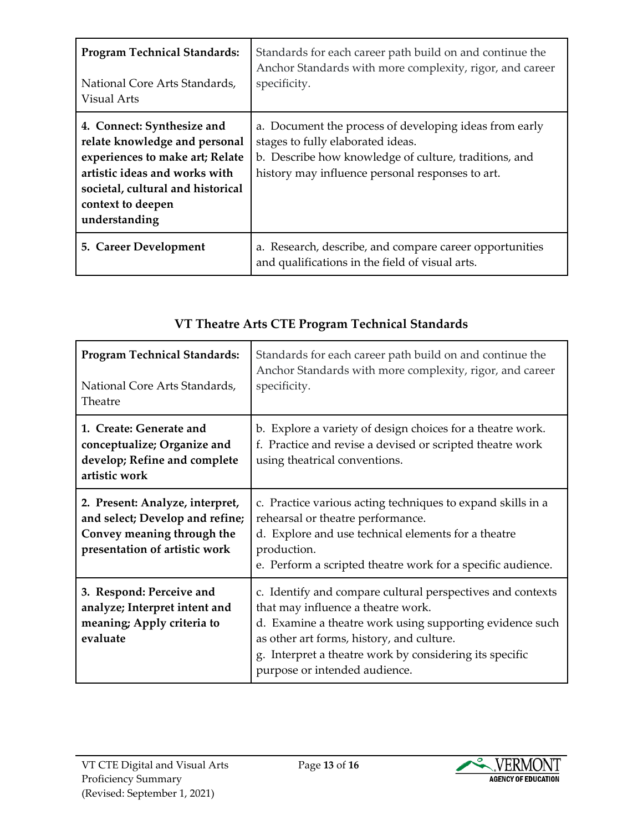| <b>Program Technical Standards:</b><br>National Core Arts Standards,<br>Visual Arts                                                                                                                        | Standards for each career path build on and continue the<br>Anchor Standards with more complexity, rigor, and career<br>specificity.                                                                     |
|------------------------------------------------------------------------------------------------------------------------------------------------------------------------------------------------------------|----------------------------------------------------------------------------------------------------------------------------------------------------------------------------------------------------------|
| 4. Connect: Synthesize and<br>relate knowledge and personal<br>experiences to make art; Relate<br>artistic ideas and works with<br>societal, cultural and historical<br>context to deepen<br>understanding | a. Document the process of developing ideas from early<br>stages to fully elaborated ideas.<br>b. Describe how knowledge of culture, traditions, and<br>history may influence personal responses to art. |
| 5. Career Development                                                                                                                                                                                      | a. Research, describe, and compare career opportunities<br>and qualifications in the field of visual arts.                                                                                               |

## **VT Theatre Arts CTE Program Technical Standards**

| <b>Program Technical Standards:</b><br>National Core Arts Standards,<br>Theatre                                                   | Standards for each career path build on and continue the<br>Anchor Standards with more complexity, rigor, and career<br>specificity.                                                                                                                                                                  |
|-----------------------------------------------------------------------------------------------------------------------------------|-------------------------------------------------------------------------------------------------------------------------------------------------------------------------------------------------------------------------------------------------------------------------------------------------------|
| 1. Create: Generate and<br>conceptualize; Organize and<br>develop; Refine and complete<br>artistic work                           | b. Explore a variety of design choices for a theatre work.<br>f. Practice and revise a devised or scripted theatre work<br>using theatrical conventions.                                                                                                                                              |
| 2. Present: Analyze, interpret,<br>and select; Develop and refine;<br>Convey meaning through the<br>presentation of artistic work | c. Practice various acting techniques to expand skills in a<br>rehearsal or theatre performance.<br>d. Explore and use technical elements for a theatre<br>production.<br>e. Perform a scripted theatre work for a specific audience.                                                                 |
| 3. Respond: Perceive and<br>analyze; Interpret intent and<br>meaning; Apply criteria to<br>evaluate                               | c. Identify and compare cultural perspectives and contexts<br>that may influence a theatre work.<br>d. Examine a theatre work using supporting evidence such<br>as other art forms, history, and culture.<br>g. Interpret a theatre work by considering its specific<br>purpose or intended audience. |

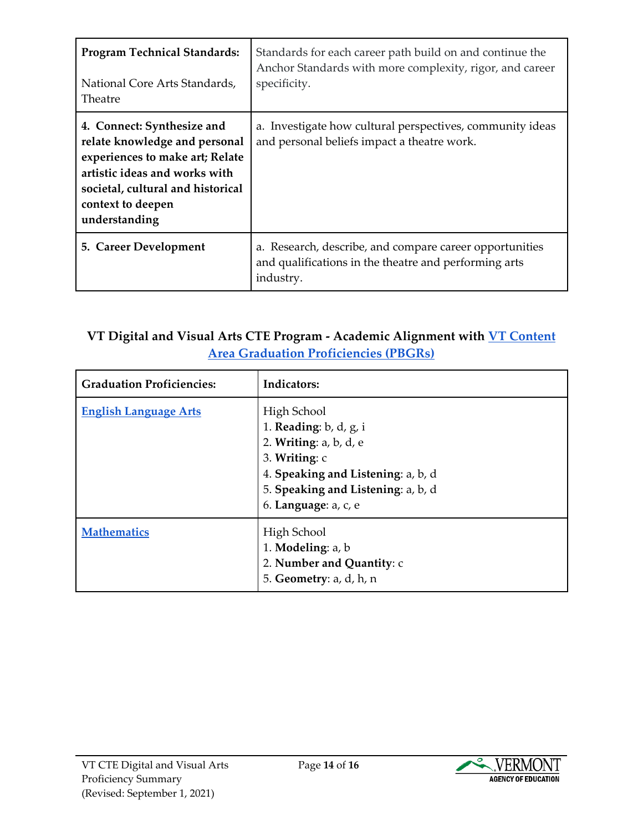| <b>Program Technical Standards:</b><br>National Core Arts Standards,<br>Theatre                                                                                                                            | Standards for each career path build on and continue the<br>Anchor Standards with more complexity, rigor, and career<br>specificity. |
|------------------------------------------------------------------------------------------------------------------------------------------------------------------------------------------------------------|--------------------------------------------------------------------------------------------------------------------------------------|
| 4. Connect: Synthesize and<br>relate knowledge and personal<br>experiences to make art; Relate<br>artistic ideas and works with<br>societal, cultural and historical<br>context to deepen<br>understanding | a. Investigate how cultural perspectives, community ideas<br>and personal beliefs impact a theatre work.                             |
| 5. Career Development                                                                                                                                                                                      | a. Research, describe, and compare career opportunities<br>and qualifications in the theatre and performing arts<br>industry.        |

#### **VT Digital and Visual Arts CTE Program - Academic Alignment with [VT Content](https://education.vermont.gov/student-learning/proficiency-based-learning/proficiency-based-graduation-requirements)  [Area Graduation Proficiencies \(PBGRs\)](https://education.vermont.gov/student-learning/proficiency-based-learning/proficiency-based-graduation-requirements)**

| <b>Graduation Proficiencies:</b> | <b>Indicators:</b>                                                                                                                                                                                |
|----------------------------------|---------------------------------------------------------------------------------------------------------------------------------------------------------------------------------------------------|
| <b>English Language Arts</b>     | High School<br>1. Reading: $b$ , $d$ , $g$ , $i$<br>2. Writing: a, b, d, e<br>3. Writing: c<br>4. Speaking and Listening: a, b, d<br>5. Speaking and Listening: a, b, d<br>6. Language: $a, c, e$ |
| <b>Mathematics</b>               | High School<br>1. Modeling: a, b<br>2. Number and Quantity: c<br>5. Geometry: a, d, h, n                                                                                                          |

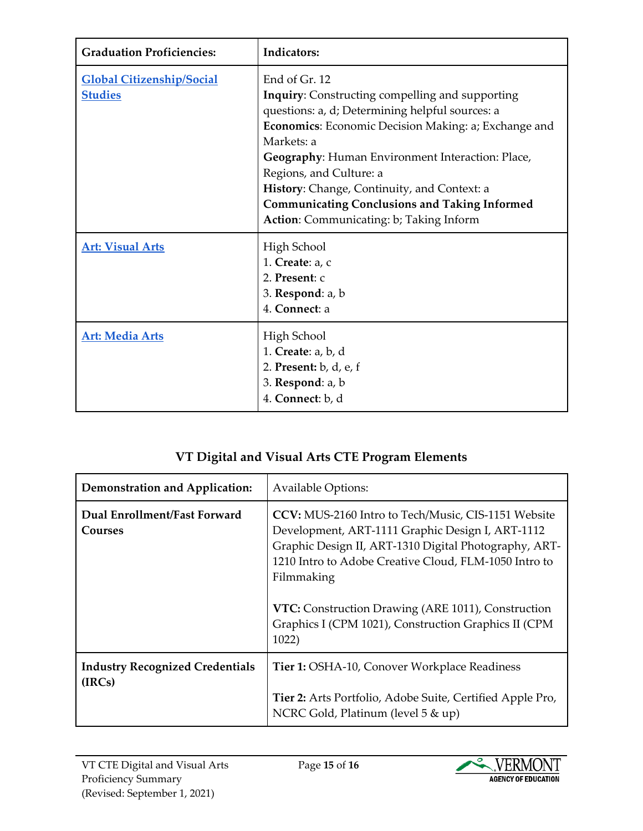| <b>Graduation Proficiencies:</b>                   | Indicators:                                                                                                                                                                                                                                                                                                                                                                                                                              |
|----------------------------------------------------|------------------------------------------------------------------------------------------------------------------------------------------------------------------------------------------------------------------------------------------------------------------------------------------------------------------------------------------------------------------------------------------------------------------------------------------|
| <b>Global Citizenship/Social</b><br><b>Studies</b> | End of Gr. 12<br><b>Inquiry:</b> Constructing compelling and supporting<br>questions: a, d; Determining helpful sources: a<br><b>Economics:</b> Economic Decision Making: a; Exchange and<br>Markets: a<br>Geography: Human Environment Interaction: Place,<br>Regions, and Culture: a<br>History: Change, Continuity, and Context: a<br><b>Communicating Conclusions and Taking Informed</b><br>Action: Communicating: b; Taking Inform |
| <b>Art: Visual Arts</b>                            | High School<br>1. Create: $a, c$<br>2. Present: c<br>3. Respond: a, b<br>4. Connect: a                                                                                                                                                                                                                                                                                                                                                   |
| <b>Art: Media Arts</b>                             | High School<br>1. Create: a, b, d<br>2. Present: b, d, e, f<br>3. Respond: a, b<br>4. Connect: b, d                                                                                                                                                                                                                                                                                                                                      |

# **VT Digital and Visual Arts CTE Program Elements**

| <b>Demonstration and Application:</b>            | <b>Available Options:</b>                                                                                                                                                                                                                                                                                                                                      |
|--------------------------------------------------|----------------------------------------------------------------------------------------------------------------------------------------------------------------------------------------------------------------------------------------------------------------------------------------------------------------------------------------------------------------|
| Dual Enrollment/Fast Forward<br>Courses          | CCV: MUS-2160 Intro to Tech/Music, CIS-1151 Website<br>Development, ART-1111 Graphic Design I, ART-1112<br>Graphic Design II, ART-1310 Digital Photography, ART-<br>1210 Intro to Adobe Creative Cloud, FLM-1050 Intro to<br>Filmmaking<br>VTC: Construction Drawing (ARE 1011), Construction<br>Graphics I (CPM 1021), Construction Graphics II (CPM<br>1022) |
| <b>Industry Recognized Credentials</b><br>(IRCs) | <b>Tier 1: OSHA-10, Conover Workplace Readiness</b><br>Tier 2: Arts Portfolio, Adobe Suite, Certified Apple Pro,<br>NCRC Gold, Platinum (level 5 & up)                                                                                                                                                                                                         |